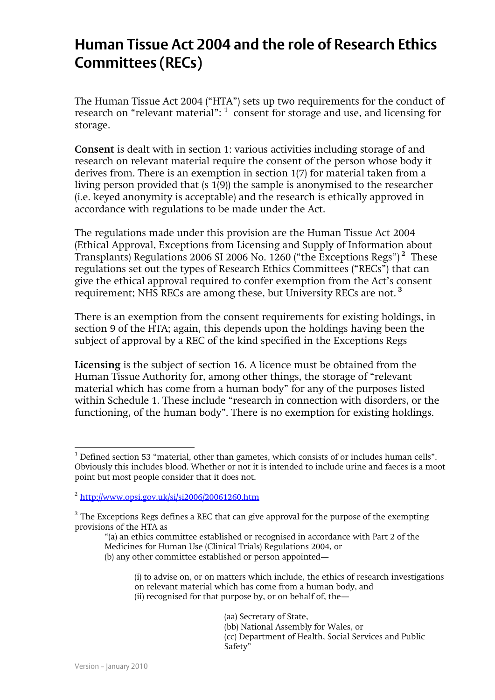## **Human Tissue Act 2004 and the role of Research Ethics Committees (RECs)**

The Human Tissue Act 2004 ("HTA") sets up two requirements for the conduct of research on "relevant material":  $1$  consent for storage and use, and licensing for storage.

**Consent** is dealt with in section 1: various activities including storage of and research on relevant material require the consent of the person whose body it derives from. There is an exemption in section 1(7) for material taken from a living person provided that (s 1(9)) the sample is anonymised to the researcher (i.e. keyed anonymity is acceptable) and the research is ethically approved in accordance with regulations to be made under the Act.

The regulations made under this provision are the Human Tissue Act 2004 (Ethical Approval, Exceptions from Licensing and Supply of Information about Transplants) Regulations 2006 SI 2006 No. 1260 ("the Exceptions Regs") **<sup>2</sup>** These regulations set out the types of Research Ethics Committees ("RECs") that can give the ethical approval required to confer exemption from the Act's consent requirement; NHS RECs are among these, but University RECs are not. **<sup>3</sup>**

There is an exemption from the consent requirements for existing holdings, in section 9 of the HTA; again, this depends upon the holdings having been the subject of approval by a REC of the kind specified in the Exceptions Regs

**Licensing** is the subject of section 16. A licence must be obtained from the Human Tissue Authority for, among other things, the storage of "relevant material which has come from a human body" for any of the purposes listed within Schedule 1. These include "research in connection with disorders, or the functioning, of the human body". There is no exemption for existing holdings.

"(a) an ethics committee established or recognised in accordance with Part 2 of the Medicines for Human Use (Clinical Trials) Regulations 2004, or (b) any other committee established or person appointed—

(aa) Secretary of State, (bb) National Assembly for Wales, or (cc) Department of Health, Social Services and Public Safety"

 $\overline{a}$ 

 $1$  Defined section 53 "material, other than gametes, which consists of or includes human cells". Obviously this includes blood. Whether or not it is intended to include urine and faeces is a moot point but most people consider that it does not.

<sup>&</sup>lt;sup>2</sup> <http://www.opsi.gov.uk/si/si2006/20061260.htm>

 $3$  The Exceptions Regs defines a REC that can give approval for the purpose of the exempting provisions of the HTA as

<sup>(</sup>i) to advise on, or on matters which include, the ethics of research investigations on relevant material which has come from a human body, and (ii) recognised for that purpose by, or on behalf of, the—